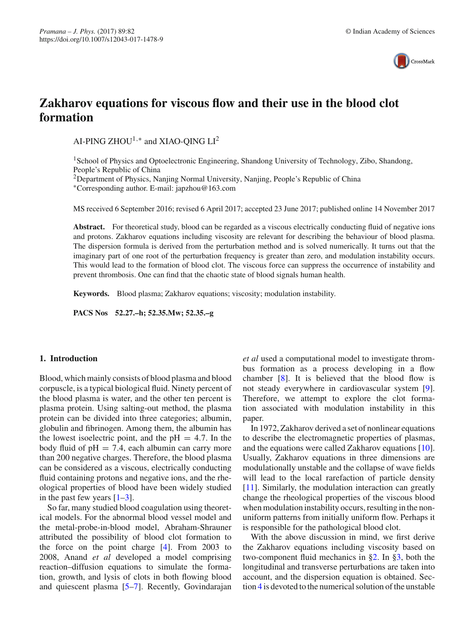

# **Zakharov equations for viscous flow and their use in the blood clot formation**

AI-PING ZHOU<sup>1,∗</sup> and XIAO-OING LI<sup>2</sup>

1School of Physics and Optoelectronic Engineering, Shandong University of Technology, Zibo, Shandong, People's Republic of China

<sup>2</sup>Department of Physics, Nanjing Normal University, Nanjing, People's Republic of China

∗Corresponding author. E-mail: japzhou@163.com

MS received 6 September 2016; revised 6 April 2017; accepted 23 June 2017; published online 14 November 2017

**Abstract.** For theoretical study, blood can be regarded as a viscous electrically conducting fluid of negative ions and protons. Zakharov equations including viscosity are relevant for describing the behaviour of blood plasma. The dispersion formula is derived from the perturbation method and is solved numerically. It turns out that the imaginary part of one root of the perturbation frequency is greater than zero, and modulation instability occurs. This would lead to the formation of blood clot. The viscous force can suppress the occurrence of instability and prevent thrombosis. One can find that the chaotic state of blood signals human health.

**Keywords.** Blood plasma; Zakharov equations; viscosity; modulation instability.

**PACS Nos 52.27.–h; 52.35.Mw; 52.35.–g**

## **1. Introduction**

Blood, which mainly consists of blood plasma and blood corpuscle, is a typical biological fluid. Ninety percent of the blood plasma is water, and the other ten percent is plasma protein. Using salting-out method, the plasma protein can be divided into three categories; albumin, globulin and fibrinogen. Among them, the albumin has the lowest isoelectric point, and the  $pH = 4.7$ . In the body fluid of  $pH = 7.4$ , each albumin can carry more than 200 negative charges. Therefore, the blood plasma can be considered as a viscous, electrically conducting fluid containing protons and negative ions, and the rheological properties of blood have been widely studied in the past few years  $[1-3]$  $[1-3]$ .

So far, many studied blood coagulation using theoretical models. For the abnormal blood vessel model and the metal-probe-in-blood model, Abraham-Shrauner attributed the possibility of blood clot formation to the force on the point charge [\[4](#page-6-2)]. From 2003 to 2008, Anand *et al* developed a model comprising reaction–diffusion equations to simulate the formation, growth, and lysis of clots in both flowing blood and quiescent plasma [\[5](#page-6-3)[–7](#page-6-4)]. Recently, Govindarajan *et al* used a computational model to investigate thrombus formation as a process developing in a flow chamber [\[8\]](#page-6-5). It is believed that the blood flow is not steady everywhere in cardiovascular system [\[9](#page-6-6)]. Therefore, we attempt to explore the clot formation associated with modulation instability in this paper.

In 1972, Zakharov derived a set of nonlinear equations to describe the electromagnetic properties of plasmas, and the equations were called Zakharov equations [\[10](#page-6-7)]. Usually, Zakharov equations in three dimensions are modulationally unstable and the collapse of wave fields will lead to the local rarefaction of particle density [\[11](#page-6-8)]. Similarly, the modulation interaction can greatly change the rheological properties of the viscous blood when modulation instability occurs, resulting in the nonuniform patterns from initially uniform flow. Perhaps it is responsible for the pathological blood clot.

With the above discussion in mind, we first derive the Zakharov equations including viscosity based on two-component fluid mechanics in [§2.](#page-1-0) In [§3,](#page-4-0) both the longitudinal and transverse perturbations are taken into account, and the dispersion equation is obtained. Section [4](#page-4-1) is devoted to the numerical solution of the unstable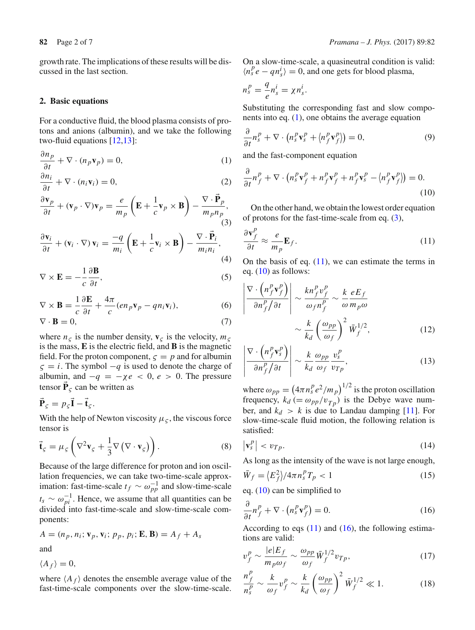growth rate. The implications of these results will be discussed in the last section.

#### <span id="page-1-0"></span>**2. Basic equations**

For a conductive fluid, the blood plasma consists of protons and anions (albumin), and we take the following two-fluid equations [\[12](#page-6-9)[,13](#page-6-10)]:

$$
\frac{\partial n_p}{\partial t} + \nabla \cdot (n_p \mathbf{v}_p) = 0,\tag{1}
$$

$$
\frac{\partial n_i}{\partial t} + \nabla \cdot (n_i \mathbf{v}_i) = 0,\tag{2}
$$

$$
\frac{\partial \mathbf{v}_p}{\partial t} + (\mathbf{v}_p \cdot \nabla) \mathbf{v}_p = \frac{e}{m_p} \left( \mathbf{E} + \frac{1}{c} \mathbf{v}_p \times \mathbf{B} \right) - \frac{\nabla \cdot \vec{\mathbf{P}}_p}{m_p n_p},\tag{3}
$$

$$
\frac{\partial \mathbf{v}_i}{\partial t} + (\mathbf{v}_i \cdot \nabla) \mathbf{v}_i = -\frac{q}{m_i} \left( \mathbf{E} + \frac{1}{c} \mathbf{v}_i \times \mathbf{B} \right) - \frac{\nabla \cdot \vec{\mathbf{P}}_i}{m_i n_i},\tag{4}
$$

$$
\nabla \times \mathbf{E} = -\frac{1}{c} \frac{\partial \mathbf{B}}{\partial t},\tag{5}
$$

$$
\nabla \times \mathbf{B} = \frac{1}{c} \frac{\partial \mathbf{E}}{\partial t} + \frac{4\pi}{c} (en_p \mathbf{v}_p - qn_i \mathbf{v}_i), \tag{6}
$$

$$
\nabla \cdot \mathbf{B} = 0,\tag{7}
$$

where  $n<sub>5</sub>$  is the number density,  $\mathbf{v}<sub>5</sub>$  is the velocity,  $m<sub>5</sub>$ is the mass, **E** is the electric field, and **B** is the magnetic field. For the proton component,  $\zeta = p$  and for albumin  $\zeta = i$ . The symbol  $-q$  is used to denote the charge of albumin, and  $-q = -\chi e < 0$ ,  $e > 0$ . The pressure tensor  $\mathbf{P}_c$  can be written as

$$
\vec{\mathbf{P}}_{\varsigma} = p_{\varsigma} \vec{\mathbf{I}} - \vec{\mathbf{t}}_{\varsigma}.
$$

With the help of Newton viscosity  $\mu_{\varsigma}$ , the viscous force tensor is

$$
\vec{\mathbf{t}}_{\varsigma} = \mu_{\varsigma} \left( \nabla^2 \mathbf{v}_{\varsigma} + \frac{1}{3} \nabla \left( \nabla \cdot \mathbf{v}_{\varsigma} \right) \right). \tag{8}
$$

Because of the large difference for proton and ion oscillation frequencies, we can take two-time-scale approximation: fast-time-scale  $t_f \sim \omega_{pp}^{-1}$  and slow-time-scale  $t_s \sim \omega_{pi}^{-1}$ . Hence, we assume that all quantities can be divided into fast-time-scale and slow-time-scale components:

$$
A = (n_p, n_i; \mathbf{v}_p, \mathbf{v}_i; p_p, p_i; \mathbf{E}, \mathbf{B}) = A_f + A_s
$$

and

 $\langle A_f \rangle = 0$ ,

where  $\langle A_f \rangle$  denotes the ensemble average value of the fast-time-scale components over the slow-time-scale. On a slow-time-scale, a quasineutral condition is valid:  $\langle n_s^p e - q n_s^i \rangle = 0$ , and one gets for blood plasma,

$$
n_s^p = \frac{q}{e} n_s^i = \chi n_s^i.
$$

<span id="page-1-10"></span> $\overline{\phantom{a}}$  $\overline{\phantom{a}}$  $\overline{\phantom{a}}$  $\bigg\}$  $\overline{\phantom{a}}$  $\frac{1}{2}$ 

Substituting the corresponding fast and slow components into eq. [\(1\)](#page-1-1), one obtains the average equation

<span id="page-1-7"></span>
$$
\frac{\partial}{\partial t} n_s^p + \nabla \cdot \left( n_s^p \mathbf{v}_s^p + \langle n_f^p \mathbf{v}_f^p \rangle \right) = 0, \tag{9}
$$

<span id="page-1-1"></span>and the fast-component equation

<span id="page-1-8"></span><span id="page-1-4"></span>
$$
\frac{\partial}{\partial t}n_f^p + \nabla \cdot \left(n_s^p \mathbf{v}_f^p + n_f^p \mathbf{v}_f^p + n_f^p \mathbf{v}_s^p - \langle n_f^p \mathbf{v}_f^p \rangle \right) = 0. \tag{10}
$$

<span id="page-1-2"></span>On the other hand, we obtain the lowest order equation of protons for the fast-time-scale from eq. [\(3\)](#page-1-2),

<span id="page-1-3"></span>
$$
\frac{\partial \mathbf{v}_f^p}{\partial t} \approx \frac{e}{m_p} \mathbf{E}_f.
$$
 (11)

<span id="page-1-9"></span>On the basis of eq.  $(11)$ , we can estimate the terms in eq.  $(10)$  as follows:

$$
\frac{\nabla \cdot \left( n_f^p \mathbf{v}_f^p \right)}{\partial n_f^p / \partial t} \sim \frac{k n_f^p v_f^p}{\omega_f n_f^p} \sim \frac{k}{\omega} \frac{e E_f}{m_p \omega} \sim \frac{k}{k_d} \left( \frac{\omega_{pp}}{\omega_f} \right)^2 \bar{W}_f^{1/2}, \tag{12}
$$

$$
\left| \frac{\nabla \cdot \left( n_f^p \mathbf{v}_s^p \right)}{\partial n_f^p / \partial t} \right| \sim \frac{k}{k_d} \frac{\omega_{pp}}{\omega_f} \frac{v_s^p}{v_{Tp}},\tag{13}
$$

where  $\omega_{pp} = (4\pi n_s^p e^2/m_p)^{1/2}$  is the proton oscillation frequency,  $k_d$  (=  $\omega_{pp}/v_{Tp}$ ) is the Debye wave number, and  $k_d > k$  is due to Landau damping [\[11](#page-6-8)]. For slow-time-scale fluid motion, the following relation is satisfied:

$$
\left| \mathbf{v}_s^p \right| < v_{Tp}. \tag{14}
$$

As long as the intensity of the wave is not large enough,

$$
\bar{W}_f = \left\langle E_f^2 \right\rangle / 4\pi n_s^p T_p < 1 \tag{15}
$$

<span id="page-1-5"></span>eq. [\(10\)](#page-1-4) can be simplified to

$$
\frac{\partial}{\partial t}n_f^p + \nabla \cdot \left(n_s^p \mathbf{v}_f^p\right) = 0. \tag{16}
$$

According to eqs  $(11)$  and  $(16)$ , the following estimations are valid:

<span id="page-1-6"></span>
$$
v_f^p \sim \frac{|e|E_f}{m_p \omega_f} \sim \frac{\omega_{pp}}{\omega_f} \bar{W}_f^{1/2} v_{Tp},\tag{17}
$$

$$
\frac{n_f^p}{n_s^p} \sim \frac{k}{\omega_f} v_f^p \sim \frac{k}{k_d} \left(\frac{\omega_{pp}}{\omega_f}\right)^2 \bar{W}_f^{1/2} \ll 1.
$$
 (18)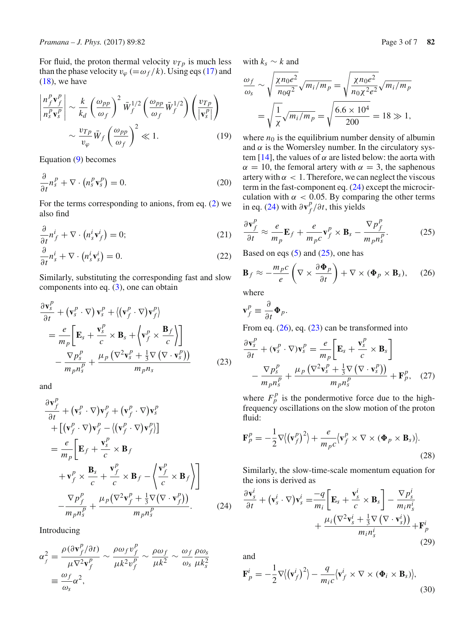For fluid, the proton thermal velocity  $v_{T_p}$  is much less than the phase velocity  $v_{\varphi} (= \omega_f/k)$ . Using eqs [\(17\)](#page-1-6) and  $(18)$ , we have

$$
\left| \frac{n_f^p \mathbf{v}_f^p}{n_s^p \mathbf{v}_s^p} \right| \sim \frac{k}{k_d} \left( \frac{\omega_{pp}}{\omega_f} \right)^2 \bar{W}_f^{1/2} \left( \frac{\omega_{pp}}{\omega_f} \bar{W}_f^{1/2} \right) \left( \frac{v_{Tp}}{|\mathbf{v}_s^p|} \right) \sim \frac{v_{Tp}}{v_{\varphi}} \bar{W}_f \left( \frac{\omega_{pp}}{\omega_f} \right)^2 \ll 1. \tag{19}
$$

Equation [\(9\)](#page-1-7) becomes

$$
\frac{\partial}{\partial t}n_s^p + \nabla \cdot \left(n_s^p \mathbf{v}_s^p\right) = 0. \tag{20}
$$

For the terms corresponding to anions, from eq. [\(2\)](#page-1-8) we also find

<span id="page-2-6"></span>
$$
\frac{\partial}{\partial t}n_f^i + \nabla \cdot \left(n_s^i \mathbf{v}_f^i\right) = 0;\tag{21}
$$

$$
\frac{\partial}{\partial t}n_s^i + \nabla \cdot \left(n_s^i \mathbf{v}_s^i\right) = 0. \tag{22}
$$

Similarly, substituting the corresponding fast and slow components into eq. [\(3\)](#page-1-2), one can obtain

$$
\frac{\partial \mathbf{v}_s^p}{\partial t} + (\mathbf{v}_s^p \cdot \nabla) \mathbf{v}_s^p + \langle (\mathbf{v}_f^p \cdot \nabla) \mathbf{v}_f^p \rangle \n= \frac{e}{m_p} \bigg[ \mathbf{E}_s + \frac{\mathbf{v}_s^p}{c} \times \mathbf{B}_s + \langle \mathbf{v}_f^p \times \frac{\mathbf{B}_f}{c} \rangle \bigg] \n- \frac{\nabla p_s^p}{m_p n_s^p} + \frac{\mu_p (\nabla^2 \mathbf{v}_s^p + \frac{1}{3} \nabla (\nabla \cdot \mathbf{v}_s^p))}{m_p n_s}
$$
\n(23)

and

<span id="page-2-0"></span>
$$
\frac{\partial \mathbf{v}_f^p}{\partial t} + (\mathbf{v}_s^p \cdot \nabla) \mathbf{v}_f^p + (\mathbf{v}_f^p \cdot \nabla) \mathbf{v}_s^p \n+ [(\mathbf{v}_f^p \cdot \nabla) \mathbf{v}_f^p - ((\mathbf{v}_f^p \cdot \nabla) \mathbf{v}_f^p)] \n= \frac{e}{m_p} \Big[ \mathbf{E}_f + \frac{\mathbf{v}_s^p}{c} \times \mathbf{B}_f \n+ \mathbf{v}_f^p \times \frac{\mathbf{B}_s}{c} + \frac{\mathbf{v}_f^p}{c} \times \mathbf{B}_f - \left\langle \frac{\mathbf{v}_f^p}{c} \times \mathbf{B}_f \right\rangle \Big] \n- \frac{\nabla p_f^p}{m_p n_s^p} + \frac{\mu_p (\nabla^2 \mathbf{v}_f^p + \frac{1}{3} \nabla (\nabla \cdot \mathbf{v}_f^p))}{m_p n_s^p}.
$$
\n(24)

Introducing

$$
\alpha_f^2 = \frac{\rho(\partial \mathbf{v}_f^p/\partial t)}{\mu \nabla^2 \mathbf{v}_f^p} \sim \frac{\rho \omega_f v_f^p}{\mu k^2 v_f^p} \sim \frac{\rho \omega_f}{\mu k^2} \sim \frac{\omega_f}{\omega_s} \frac{\rho \omega_s}{\mu k_s^2}
$$

$$
\equiv \frac{\omega_f}{\omega_s} \alpha^2,
$$

with  $k_s \sim k$  and

$$
\frac{\omega_f}{\omega_s} \sim \sqrt{\frac{\chi n_0 e^2}{n_0 q^2}} \sqrt{m_i / m_p} = \sqrt{\frac{\chi n_0 e^2}{n_0 \chi^2 e^2}} \sqrt{m_i / m_p}
$$

$$
= \sqrt{\frac{1}{\chi}} \sqrt{m_i / m_p} = \sqrt{\frac{6.6 \times 10^4}{200}} = 18 \gg 1,
$$

where  $n_0$  is the equilibrium number density of albumin and  $\alpha$  is the Womersley number. In the circulatory sys-tem [\[14\]](#page-6-11), the values of  $\alpha$  are listed below: the aorta with  $\alpha = 10$ , the femoral artery with  $\alpha = 3$ , the saphenous artery with  $\alpha < 1$ . Therefore, we can neglect the viscous term in the fast-component eq. [\(24\)](#page-2-0) except the microcirculation with  $\alpha$  < 0.05. By comparing the other terms in eq. [\(24\)](#page-2-0) with  $\partial \mathbf{v}^p_f / \partial t$ , this yields

<span id="page-2-1"></span>
$$
\frac{\partial \mathbf{v}_f^p}{\partial t} \approx \frac{e}{m_p} \mathbf{E}_f + \frac{e}{m_p c} \mathbf{v}_f^p \times \mathbf{B}_s - \frac{\nabla p_f^p}{m_p n_s^p}.
$$
 (25)

Based on eqs  $(5)$  and  $(25)$ , one has

<span id="page-2-2"></span>
$$
\mathbf{B}_f \approx -\frac{m_p c}{e} \left( \nabla \times \frac{\partial \Phi_p}{\partial t} \right) + \nabla \times (\Phi_p \times \mathbf{B}_s), \quad (26)
$$

where

$$
\mathbf{v}_f^p \equiv \frac{\partial}{\partial t} \mathbf{\Phi}_p.
$$

From eq. [\(26\)](#page-2-2), eq. [\(23\)](#page-2-3) can be transformed into

<span id="page-2-4"></span><span id="page-2-3"></span>
$$
\frac{\partial \mathbf{v}_s^p}{\partial t} + (\mathbf{v}_s^p \cdot \nabla) \mathbf{v}_s^p = \frac{e}{m_p} \bigg[ \mathbf{E}_s + \frac{\mathbf{v}_s^p}{c} \times \mathbf{B}_s \bigg] \n- \frac{\nabla p_s^p}{m_p n_s^p} + \frac{\mu_p \left( \nabla^2 \mathbf{v}_s^p + \frac{1}{3} \nabla \left( \nabla \cdot \mathbf{v}_s^p \right) \right)}{m_p n_s^p} + \mathbf{F}_p^p, \quad (27)
$$

where  $F_p^p$  is the pondermotive force due to the highfrequency oscillations on the slow motion of the proton fluid:

$$
\mathbf{F}_p^p = -\frac{1}{2}\nabla \langle (\mathbf{v}_f^p)^2 \rangle + \frac{e}{m_p c} \langle \mathbf{v}_f^p \times \nabla \times (\mathbf{\Phi}_p \times \mathbf{B}_s) \rangle.
$$
\n(28)

Similarly, the slow-time-scale momentum equation for the ions is derived as

$$
\frac{\partial \mathbf{v}_s^i}{\partial t} + (\mathbf{v}_s^i \cdot \nabla) \mathbf{v}_s^i = \frac{-q}{m_i} \bigg[ \mathbf{E}_s + \frac{\mathbf{v}_s^i}{c} \times \mathbf{B}_s \bigg] - \frac{\nabla p_s^i}{m_i n_s^i} + \frac{\mu_i (\nabla^2 \mathbf{v}_s^i + \frac{1}{3} \nabla (\nabla \cdot \mathbf{v}_s^i))}{m_i n_s^i} + \mathbf{F}_p^i
$$
\n(29)

<span id="page-2-5"></span>and

$$
\mathbf{F}_p^i = -\frac{1}{2}\nabla \langle (\mathbf{v}_f^i)^2 \rangle - \frac{q}{m_i c} \langle \mathbf{v}_f^i \times \nabla \times (\mathbf{\Phi}_i \times \mathbf{B}_s) \rangle, \tag{30}
$$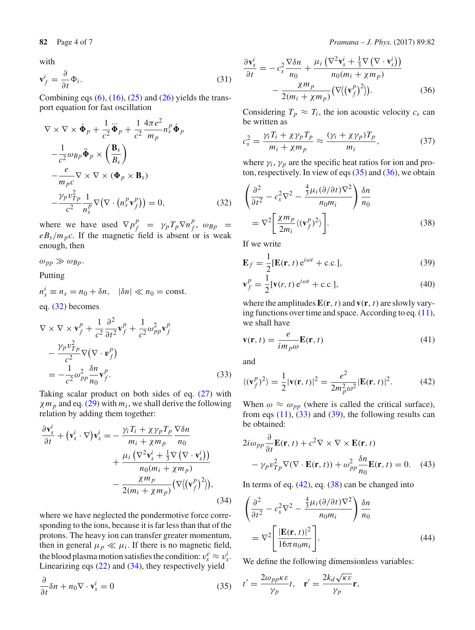with

$$
\mathbf{v}_f^i = \frac{\partial}{\partial t} \Phi_i.
$$
 (31)

Combining eqs  $(6)$ ,  $(16)$ ,  $(25)$  and  $(26)$  yields the transport equation for fast oscillation

<span id="page-3-0"></span>
$$
\nabla \times \nabla \times \dot{\Phi}_p + \frac{1}{c^2} \ddot{\Phi}_p + \frac{1}{c^2} \frac{4\pi e^2}{m_p} n_s^p \dot{\Phi}_p
$$
  

$$
- \frac{1}{c^2} \omega_{Bp} \ddot{\Phi}_p \times \left(\frac{\mathbf{B}_s}{B_s}\right)
$$
  

$$
- \frac{e}{m_p c} \nabla \times \nabla \times (\Phi_p \times \mathbf{B}_s)
$$
  

$$
- \frac{\gamma_p v_{Tp}^2}{c^2} \frac{1}{n_s^p} \nabla (\nabla \cdot (n_s^p \mathbf{v}_f^p)) = 0,
$$
 (32)

where we have used  $\nabla p_f^p = \gamma_p T_p \nabla n_f^p$ ,  $\omega_{Bp}$  $eB_s/m_p c$ . If the magnetic field is absent or is weak enough, then

 $\omega_{pp} \gg \omega_{Bp}$ .

Putting

 $n_s^i \equiv n_s = n_0 + \delta n, \quad |\delta n| \ll n_0 = \text{const.}$ 

eq. [\(32\)](#page-3-0) becomes

$$
\nabla \times \nabla \times \mathbf{v}_f^p + \frac{1}{c^2} \frac{\partial^2}{\partial t^2} \mathbf{v}_f^p + \frac{1}{c^2} \omega_{pp}^2 \mathbf{v}_f^p
$$
  

$$
- \frac{\gamma_p v_{Tp}^2}{c^2} \nabla (\nabla \cdot \mathbf{v}_f^p)
$$
  

$$
= -\frac{1}{c^2} \omega_{pp}^2 \frac{\delta n}{n_0} \mathbf{v}_f^p.
$$
 (33)

Taking scalar product on both sides of eq. [\(27\)](#page-2-4) with  $\chi m_p$  and eq. [\(29\)](#page-2-5) with  $m_i$ , we shall derive the following relation by adding them together:

$$
\frac{\partial \mathbf{v}_s^i}{\partial t} + (\mathbf{v}_s^i \cdot \nabla) \mathbf{v}_s^i = -\frac{\gamma_i T_i + \chi \gamma_p T_p}{m_i + \chi m_p} \frac{\nabla \delta n}{n_0} \n+ \frac{\mu_i (\nabla^2 \mathbf{v}_s^i + \frac{1}{3} \nabla (\nabla \cdot \mathbf{v}_s^i))}{n_0 (m_i + \chi m_p)} \n- \frac{\chi m_p}{2(m_i + \chi m_p)} (\nabla (\mathbf{v}_f^p)^2)),
$$
\n(34)

where we have neglected the pondermotive force corresponding to the ions, because it is far less than that of the protons. The heavy ion can transfer greater momentum, then in general  $\mu_p \ll \mu_i$ . If there is no magnetic field, the blood plasma motion satisfies the condition:  $v_s^e \approx v_s^i$ . Linearizing eqs  $(22)$  and  $(34)$ , they respectively yield

$$
\frac{\partial}{\partial t}\delta n + n_0 \nabla \cdot \mathbf{v}_s^i = 0 \tag{35}
$$

<span id="page-3-3"></span>
$$
\frac{\partial \mathbf{v}_s^i}{\partial t} = -c_s^2 \frac{\nabla \delta n}{n_0} + \frac{\mu_i \left( \nabla^2 \mathbf{v}_s^i + \frac{1}{3} \nabla \left( \nabla \cdot \mathbf{v}_s^i \right) \right)}{n_0 (m_i + \chi m_p)}
$$

$$
- \frac{\chi m_p}{2(m_i + \chi m_p)} \left( \nabla \langle (\mathbf{v}_f^p)^2 \rangle \right). \tag{36}
$$

Considering  $T_p \approx T_i$ , the ion acoustic velocity  $c_s$  can be written as

$$
c_s^2 = \frac{\gamma_i T_i + \chi \gamma_p T_p}{m_i + \chi m_p} \approx \frac{(\gamma_i + \chi \gamma_p) T_p}{m_i},\tag{37}
$$

where  $\gamma_i$ ,  $\gamma_p$  are the specific heat ratios for ion and proton, respectively. In view of eqs  $(35)$  and  $(36)$ , we obtain

<span id="page-3-7"></span>
$$
\left(\frac{\partial^2}{\partial t^2} - c_s^2 \nabla^2 - \frac{\frac{4}{3} \mu_i (\partial/\partial t) \nabla^2}{n_0 m_i}\right) \frac{\delta n}{n_0}
$$

$$
= \nabla^2 \left[\frac{\chi m_p}{2m_i} \langle (\mathbf{v}_f^p)^2 \rangle \right].
$$
(38)

If we write

<span id="page-3-5"></span>
$$
\mathbf{E}_f = \frac{1}{2} [\mathbf{E}(\mathbf{r}, t) e^{i\omega t} + \text{c.c.}],
$$
\n(39)

$$
\mathbf{v}_f^p = \frac{1}{2} [\mathbf{v}(r, t) e^{i\omega t} + \text{c.c.}],
$$
 (40)

where the amplitudes  $\mathbf{E}(\mathbf{r}, t)$  and  $\mathbf{v}(\mathbf{r}, t)$  are slowly varying functions over time and space. According to eq.  $(11)$ , we shall have

$$
\mathbf{v}(\mathbf{r},t) = \frac{e}{im_p\omega} \mathbf{E}(\mathbf{r},t)
$$
 (41)

<span id="page-3-6"></span>and

<span id="page-3-4"></span>
$$
\langle (\mathbf{v}_f^p)^2 \rangle = \frac{1}{2} |\mathbf{v}(\mathbf{r}, t)|^2 = \frac{e^2}{2m_p^2 \omega^2} |\mathbf{E}(\mathbf{r}, t)|^2.
$$
 (42)

When  $\omega \approx \omega_{pp}$  (where is called the critical surface), from eqs  $(11)$ ,  $(33)$  and  $(39)$ , the following results can be obtained:

<span id="page-3-8"></span>
$$
2i\omega_{pp}\frac{\partial}{\partial t}\mathbf{E}(\mathbf{r},t) + c^2 \nabla \times \nabla \times \mathbf{E}(\mathbf{r},t)
$$

$$
-\gamma_p v_{Tp}^2 \nabla(\nabla \cdot \mathbf{E}(\mathbf{r},t)) + \omega_{pp}^2 \frac{\delta n}{n_0} \mathbf{E}(\mathbf{r},t) = 0. \quad (43)
$$

In terms of eq.  $(42)$ , eq.  $(38)$  can be changed into

<span id="page-3-9"></span><span id="page-3-1"></span>
$$
\left(\frac{\partial^2}{\partial t^2} - c_s^2 \nabla^2 - \frac{\frac{4}{3} \mu_i (\partial/\partial t) \nabla^2}{n_0 m_i}\right) \frac{\delta n}{n_0}
$$

$$
= \nabla^2 \left[ \frac{|\mathbf{E}(\mathbf{r}, t)|^2}{16 \pi n_0 m_i} \right].
$$
(44)

We define the following dimensionless variables:

<span id="page-3-2"></span>
$$
t' = \frac{2\omega_{pp}\kappa \varepsilon}{\gamma_p}t
$$
,  $\mathbf{r}' = \frac{2k_d\sqrt{\kappa \varepsilon}}{\gamma_p}\mathbf{r}$ ,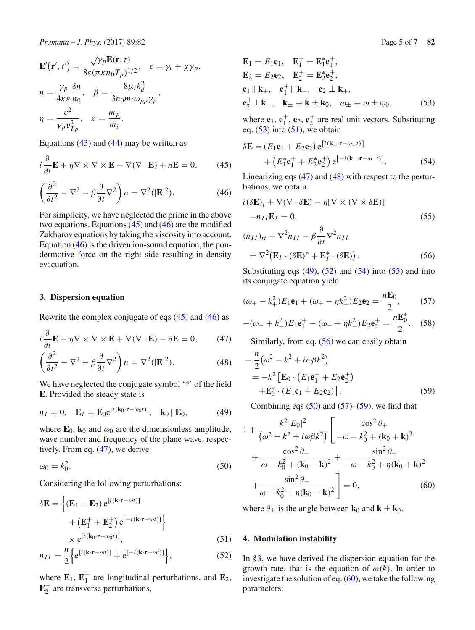$$
\mathbf{E}'(\mathbf{r}',t') = \frac{\sqrt{\gamma_p} \mathbf{E}(\mathbf{r},t)}{8\varepsilon (\pi \kappa n_0 T_p)^{1/2}}, \quad \varepsilon = \gamma_i + \chi \gamma_p,
$$
  
\n
$$
n = \frac{\gamma_p}{4\kappa \varepsilon} \frac{\delta n}{n_0}, \quad \beta = \frac{8\mu_i k_d^2}{3n_0 m_i \omega_{pp} \gamma_p},
$$
  
\n
$$
\eta = \frac{c^2}{\gamma_p v_{Tp}^2}, \quad \kappa = \frac{m_p}{m_i}.
$$

Equations  $(43)$  and  $(44)$  may be written as

<span id="page-4-2"></span>
$$
i\frac{\partial}{\partial t}\mathbf{E} + \eta \nabla \times \nabla \times \mathbf{E} - \nabla(\nabla \cdot \mathbf{E}) + n\mathbf{E} = 0.
$$
 (45)

$$
\left(\frac{\partial^2}{\partial t^2} - \nabla^2 - \beta \frac{\partial}{\partial t} \nabla^2\right) n = \nabla^2 (|\mathbf{E}|^2). \tag{46}
$$

For simplicity, we have neglected the prime in the above two equations. Equations  $(45)$  and  $(46)$  are the modified Zakharov equations by taking the viscosity into account. Equation [\(46\)](#page-4-2) is the driven ion-sound equation, the pondermotive force on the right side resulting in density evacuation.

#### <span id="page-4-0"></span>**3. Dispersion equation**

Rewrite the complex conjugate of eqs [\(45\)](#page-4-2) and [\(46\)](#page-4-2) as

<span id="page-4-3"></span>
$$
i\frac{\partial}{\partial t}\mathbf{E} - \eta \nabla \times \nabla \times \mathbf{E} + \nabla(\nabla \cdot \mathbf{E}) - n\mathbf{E} = 0, \qquad (47)
$$

$$
\left(\frac{\partial^2}{\partial t^2} - \nabla^2 - \beta \frac{\partial}{\partial t} \nabla^2\right) n = \nabla^2 (|\mathbf{E}|^2). \tag{48}
$$

We have neglected the conjugate symbol '\*' of the field **E**. Provided the steady state is

$$
n_I = 0, \quad \mathbf{E}_I = \mathbf{E}_0 e^{[i(\mathbf{k}_0 \cdot \mathbf{r} - \omega_0 t)]}, \quad \mathbf{k}_0 \parallel \mathbf{E}_0,\tag{49}
$$

where  $\mathbf{E}_0$ ,  $\mathbf{k}_0$  and  $\omega_0$  are the dimensionless amplitude, wave number and frequency of the plane wave, respectively. From eq. [\(47\)](#page-4-3), we derive

$$
\omega_0 = k_0^2. \tag{50}
$$

Considering the following perturbations:

$$
\delta \mathbf{E} = \left\{ (\mathbf{E}_1 + \mathbf{E}_2) e^{[i(\mathbf{k} \cdot \mathbf{r} - \omega t)]} + (\mathbf{E}_1^+ + \mathbf{E}_2^+) e^{[-i(\mathbf{k} \cdot \mathbf{r} - \omega t)]} \right\}
$$
  
 
$$
\times e^{[i(\mathbf{k}_0 \cdot \mathbf{r} - \omega_0 t)]}, \tag{51}
$$

$$
n_{II} = \frac{n}{2} \left\{ e^{[i(\mathbf{k} \cdot \mathbf{r} - \omega t)]} + e^{[-i(\mathbf{k} \cdot \mathbf{r} - \omega t)]} \right\},\tag{52}
$$

where  $\mathbf{E}_1$ ,  $\mathbf{E}_1^+$  are longitudinal perturbations, and  $\mathbf{E}_2$ ,  $\mathbf{E}_2^+$  are transverse perturbations,

$$
\mathbf{E}_{1} = E_{1}\mathbf{e}_{1}, \quad \mathbf{E}_{1}^{+} = \mathbf{E}_{1}^{*}\mathbf{e}_{1}^{+}, \n\mathbf{E}_{2} = E_{2}\mathbf{e}_{2}, \quad \mathbf{E}_{2}^{+} = \mathbf{E}_{2}^{*}\mathbf{e}_{2}^{+}, \n\mathbf{e}_{1} \parallel \mathbf{k}_{+}, \quad \mathbf{e}_{1}^{+} \parallel \mathbf{k}_{-}, \quad \mathbf{e}_{2} \perp \mathbf{k}_{+}, \n\mathbf{e}_{2}^{+} \perp \mathbf{k}_{-}, \quad \mathbf{k}_{\pm} \equiv \mathbf{k} \pm \mathbf{k}_{0}, \quad \omega_{\pm} \equiv \omega \pm \omega_{0},
$$
\n(53)

<span id="page-4-4"></span>where  $\mathbf{e}_1$ ,  $\mathbf{e}_1^+$ ,  $\mathbf{e}_2$ ,  $\mathbf{e}_2^+$  are real unit vectors. Substituting eq.  $(53)$  into  $(51)$ , we obtain

<span id="page-4-8"></span>
$$
\delta \mathbf{E} = (E_1 \mathbf{e}_1 + E_2 \mathbf{e}_2) e^{[i(\mathbf{k}_+ \cdot \mathbf{r} - \omega_+ t)]} + (E_1^* \mathbf{e}_1^+ + E_2^* \mathbf{e}_2^+) e^{[-i(\mathbf{k}_- \cdot \mathbf{r} - \omega_- t)]}. \tag{54}
$$

Linearizing eqs [\(47\)](#page-4-3) and [\(48\)](#page-4-3) with respect to the perturbations, we obtain

<span id="page-4-9"></span>
$$
i(\delta \mathbf{E})_t + \nabla(\nabla \cdot \delta \mathbf{E}) - \eta [\nabla \times (\nabla \times \delta \mathbf{E})]
$$

$$
-n_{II} \mathbf{E}_I = 0,
$$
(55)

$$
(n_{II})_{tt} - \nabla^2 n_{II} - \beta \frac{\partial}{\partial t} \nabla^2 n_{II}
$$
  
=  $\nabla^2 (\mathbf{E}_I \cdot (\delta \mathbf{E})^* + \mathbf{E}_I^* \cdot (\delta \mathbf{E}))$ . (56)

Substituting eqs  $(49)$ ,  $(52)$  and  $(54)$  into  $(55)$  and into its conjugate equation yield

<span id="page-4-11"></span>
$$
(\omega_{+} - k_{+}^{2})E_{1}\mathbf{e}_{1} + (\omega_{+} - \eta k_{+}^{2})E_{2}\mathbf{e}_{2} = \frac{n\mathbf{E}_{0}}{2},
$$
 (57)

$$
-(\omega_- + k_-^2)E_1\mathbf{e}_1^+ - (\omega_- + \eta k_-^2)E_2\mathbf{e}_2^+ = \frac{n\mathbf{E}_0^*}{2}.
$$
 (58)

Similarly, from eq. [\(56\)](#page-4-9) we can easily obtain

$$
-\frac{n}{2}(\omega^2 - k^2 + i\omega\beta k^2)
$$
  
=  $-k^2 \left[\mathbf{E}_0 \cdot (E_1 \mathbf{e}_1^+ + E_2 \mathbf{e}_2^+) + \mathbf{E}_0^* \cdot (E_1 \mathbf{e}_1 + E_2 \mathbf{e}_2)\right].$  (59)

<span id="page-4-12"></span>Combining eqs  $(50)$  and  $(57)$ – $(59)$ , we find that

<span id="page-4-10"></span><span id="page-4-6"></span>
$$
1 + \frac{k^2 |E_0|^2}{(\omega^2 - k^2 + i\omega\beta k^2)} \left[ \frac{\cos^2 \theta_+}{-\omega - k_0^2 + (\mathbf{k}_0 + \mathbf{k})^2} + \frac{\cos^2 \theta_-}{\omega - k_0^2 + (\mathbf{k}_0 - \mathbf{k})^2} + \frac{\sin^2 \theta_+}{-\omega - k_0^2 + \eta(\mathbf{k}_0 + \mathbf{k})^2} + \frac{\sin^2 \theta_-}{\omega - k_0^2 + \eta(\mathbf{k}_0 - \mathbf{k})^2} \right] = 0, \quad (60)
$$

<span id="page-4-13"></span>where  $\theta_{\pm}$  is the angle between **k**<sub>0</sub> and **k**  $\pm$  **k**<sub>0</sub>.

### <span id="page-4-5"></span><span id="page-4-1"></span>**4. Modulation instability**

<span id="page-4-7"></span>In [§3,](#page-4-0) we have derived the dispersion equation for the growth rate, that is the equation of  $\omega(k)$ . In order to investigate the solution of eq.  $(60)$ , we take the following parameters: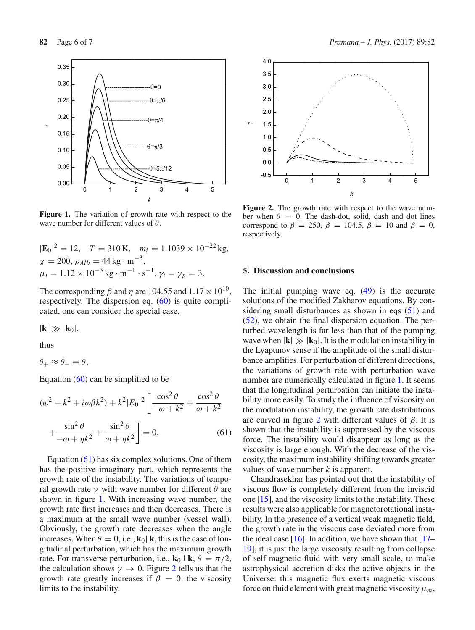

<span id="page-5-1"></span>**Figure 1.** The variation of growth rate with respect to the wave number for different values of  $\theta$ .

$$
|\mathbf{E}_0|^2 = 12
$$
,  $T = 310 \text{ K}$ ,  $m_i = 1.1039 \times 10^{-22} \text{ kg}$ ,  
\n $\chi = 200$ ,  $\rho_{Alb} = 44 \text{ kg} \cdot \text{m}^{-3}$ ,  
\n $\mu_i = 1.12 \times 10^{-3} \text{ kg} \cdot \text{m}^{-1} \cdot \text{s}^{-1}$ ,  $\gamma_i = \gamma_p = 3$ .

The corresponding  $\beta$  and  $\eta$  are 104.55 and 1.17  $\times$  10<sup>10</sup>, respectively. The dispersion eq. [\(60\)](#page-4-13) is quite complicated, one can consider the special case,

 $|\mathbf{k}| \gg |\mathbf{k}_0|$ ,

thus

$$
\theta_+ \approx \theta_- \equiv \theta.
$$

Equation  $(60)$  can be simplified to be

$$
(\omega^2 - k^2 + i\omega\beta k^2) + k^2|E_0|^2 \left[ \frac{\cos^2\theta}{-\omega + k^2} + \frac{\cos^2\theta}{\omega + k^2} + \frac{\sin^2\theta}{-\omega + \eta k^2} + \frac{\sin^2\theta}{\omega + \eta k^2} \right] = 0.
$$
 (61)

Equation  $(61)$  has six complex solutions. One of them has the positive imaginary part, which represents the growth rate of the instability. The variations of temporal growth rate  $\gamma$  with wave number for different  $\theta$  are shown in figure [1.](#page-5-1) With increasing wave number, the growth rate first increases and then decreases. There is a maximum at the small wave number (vessel wall). Obviously, the growth rate decreases when the angle increases. When  $\theta = 0$ , i.e.,  $\mathbf{k}_0 \parallel \mathbf{k}$ , this is the case of longitudinal perturbation, which has the maximum growth rate. For transverse perturbation, i.e.,  $\mathbf{k}_0 \perp \mathbf{k}$ ,  $\theta = \pi/2$ , the calculation shows  $\gamma \to 0$ . Figure [2](#page-5-2) tells us that the growth rate greatly increases if  $\beta = 0$ : the viscosity limits to the instability.



<span id="page-5-2"></span>**Figure 2.** The growth rate with respect to the wave number when  $\theta = 0$ . The dash-dot, solid, dash and dot lines correspond to  $\beta = 250$ ,  $\beta = 104.5$ ,  $\beta = 10$  and  $\beta = 0$ , respectively.

#### **5. Discussion and conclusions**

The initial pumping wave eq. [\(49\)](#page-4-6) is the accurate solutions of the modified Zakharov equations. By considering small disturbances as shown in eqs [\(51\)](#page-4-5) and [\(52\)](#page-4-7), we obtain the final dispersion equation. The perturbed wavelength is far less than that of the pumping wave when  $|\mathbf{k}| \gg |\mathbf{k}_0|$ . It is the modulation instability in the Lyapunov sense if the amplitude of the small disturbance amplifies. For perturbation of different directions, the variations of growth rate with perturbation wave number are numerically calculated in figure [1.](#page-5-1) It seems that the longitudinal perturbation can initiate the instability more easily. To study the influence of viscosity on the modulation instability, the growth rate distributions are curved in figure [2](#page-5-2) with different values of  $\beta$ . It is shown that the instability is suppressed by the viscous force. The instability would disappear as long as the viscosity is large enough. With the decrease of the viscosity, the maximum instability shifting towards greater values of wave number *k* is apparent.

<span id="page-5-0"></span>Chandrasekhar has pointed out that the instability of viscous flow is completely different from the inviscid one [\[15\]](#page-6-12), and the viscosity limits to the instability. These results were also applicable for magnetorotational instability. In the presence of a vertical weak magnetic field, the growth rate in the viscous case deviated more from the ideal case [\[16\]](#page-6-13). In addition, we have shown that  $[17 [17-$ [19\]](#page-6-15), it is just the large viscosity resulting from collapse of self-magnetic fluid with very small scale, to make astrophysical accretion disks the active objects in the Universe: this magnetic flux exerts magnetic viscous force on fluid element with great magnetic viscosity  $\mu_m$ ,